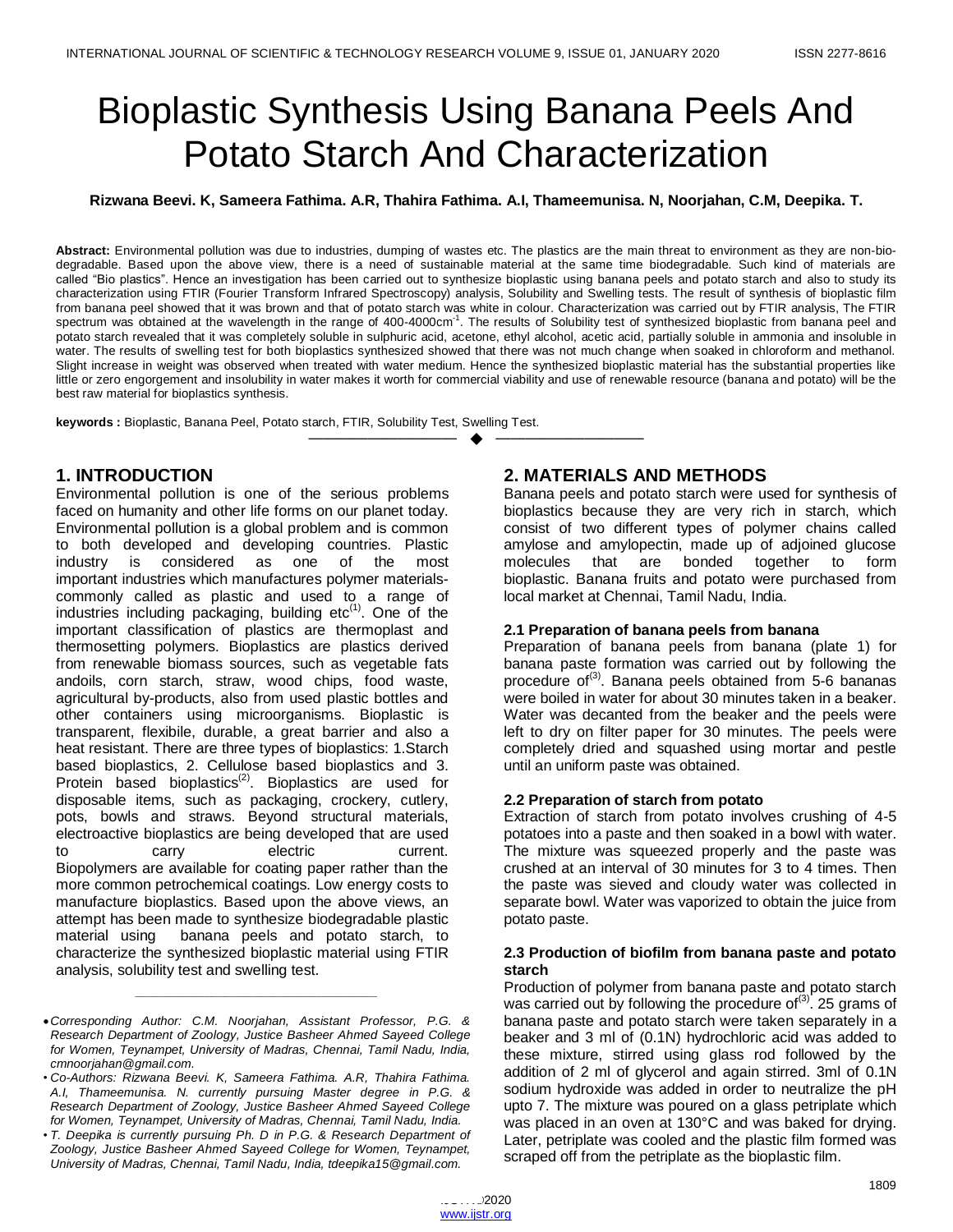# Bioplastic Synthesis Using Banana Peels And Potato Starch And Characterization

**Rizwana Beevi. K, Sameera Fathima. A.R, Thahira Fathima. A.I, Thameemunisa. N, Noorjahan, C.M, Deepika. T.**

**Abstract:** Environmental pollution was due to industries, dumping of wastes etc. The plastics are the main threat to environment as they are non-biodegradable. Based upon the above view, there is a need of sustainable material at the same time biodegradable. Such kind of materials are called "Bio plastics". Hence an investigation has been carried out to synthesize bioplastic using banana peels and potato starch and also to study its characterization using FTIR (Fourier Transform Infrared Spectroscopy) analysis, Solubility and Swelling tests. The result of synthesis of bioplastic film from banana peel showed that it was brown and that of potato starch was white in colour. Characterization was carried out by FTIR analysis, The FTIR spectrum was obtained at the wavelength in the range of 400-4000cm<sup>-1</sup>. The results of Solubility test of synthesized bioplastic from banana peel and potato starch revealed that it was completely soluble in sulphuric acid, acetone, ethyl alcohol, acetic acid, partially soluble in ammonia and insoluble in water. The results of swelling test for both bioplastics synthesized showed that there was not much change when soaked in chloroform and methanol. Slight increase in weight was observed when treated with water medium. Hence the synthesized bioplastic material has the substantial properties like little or zero engorgement and insolubility in water makes it worth for commercial viability and use of renewable resource (banana and potato) will be the best raw material for bioplastics synthesis.

—————————— ——————————

**keywords :** Bioplastic, Banana Peel, Potato starch, FTIR, Solubility Test, Swelling Test.

# **1. INTRODUCTION**

Environmental pollution is one of the serious problems faced on humanity and other life forms on our planet today. Environmental pollution is a global problem and is common to both developed and developing countries. Plastic industry is considered as one of the most important industries which manufactures polymer materialscommonly called as plastic and used to a range of industries including packaging, building  $etc<sup>(1)</sup>$ . One of the important classification of plastics are thermoplast and thermosetting polymers. Bioplastics are plastics derived from renewable biomass sources, such as vegetable fats andoils, corn starch, straw, wood chips, food waste, agricultural by-products, also from used plastic bottles and other containers using microorganisms. Bioplastic is transparent, flexibile, durable, a great barrier and also a heat resistant. There are three types of bioplastics: 1.Starch based bioplastics, 2. Cellulose based bioplastics and 3. Protein based bioplastics<sup>(2)</sup>. Bioplastics are used for disposable items, such as packaging, crockery, cutlery, pots, bowls and straws. Beyond structural materials, electroactive bioplastics are being developed that are used to carry electric current. Biopolymers are available for coating paper rather than the more common petrochemical coatings. Low energy costs to manufacture bioplastics. Based upon the above views, an attempt has been made to synthesize biodegradable plastic material using banana peels and potato starch, to characterize the synthesized bioplastic material using FTIR analysis, solubility test and swelling test.

*\_\_\_\_\_\_\_\_\_\_\_\_\_\_\_\_\_\_\_\_\_\_\_\_\_\_\_\_\_\_\_\_\_\_\_*

# **2. MATERIALS AND METHODS**

Banana peels and potato starch were used for synthesis of bioplastics because they are very rich in starch, which consist of two different types of polymer chains called amylose and amylopectin, made up of adjoined glucose molecules that are bonded together to form bioplastic. Banana fruits and potato were purchased from local market at Chennai, Tamil Nadu, India.

#### **2.1 Preparation of banana peels from banana**

Preparation of banana peels from banana (plate 1) for banana paste formation was carried out by following the procedure of<sup>(3)</sup>. Banana peels obtained from 5-6 bananas were boiled in water for about 30 minutes taken in a beaker. Water was decanted from the beaker and the peels were left to dry on filter paper for 30 minutes. The peels were completely dried and squashed using mortar and pestle until an uniform paste was obtained.

#### **2.2 Preparation of starch from potato**

Extraction of starch from potato involves crushing of 4-5 potatoes into a paste and then soaked in a bowl with water. The mixture was squeezed properly and the paste was crushed at an interval of 30 minutes for 3 to 4 times. Then the paste was sieved and cloudy water was collected in separate bowl. Water was vaporized to obtain the juice from potato paste.

#### **2.3 Production of biofilm from banana paste and potato starch**

Production of polymer from banana paste and potato starch was carried out by following the procedure of<sup>(3)</sup>. 25 grams of banana paste and potato starch were taken separately in a beaker and 3 ml of (0.1N) hydrochloric acid was added to these mixture, stirred using glass rod followed by the addition of 2 ml of glycerol and again stirred. 3ml of 0.1N sodium hydroxide was added in order to neutralize the pH upto 7. The mixture was poured on a glass petriplate which was placed in an oven at 130°C and was baked for drying. Later, petriplate was cooled and the plastic film formed was scraped off from the petriplate as the bioplastic film.

*Corresponding Author: C.M. Noorjahan, Assistant Professor, P.G. & Research Department of Zoology, Justice Basheer Ahmed Sayeed College for Women, Teynampet, University of Madras, Chennai, Tamil Nadu, India, cmnoorjahan@gmail.com.*

<sup>•</sup> *Co-Authors: Rizwana Beevi. K, Sameera Fathima. A.R, Thahira Fathima. A.I, Thameemunisa. N. currently pursuing Master degree in P.G. & Research Department of Zoology, Justice Basheer Ahmed Sayeed College for Women, Teynampet, University of Madras, Chennai, Tamil Nadu, India.*

<sup>•</sup> *T. Deepika is currently pursuing Ph. D in P.G. & Research Department of Zoology, Justice Basheer Ahmed Sayeed College for Women, Teynampet, University of Madras, Chennai, Tamil Nadu, India, tdeepika15@gmail.com.*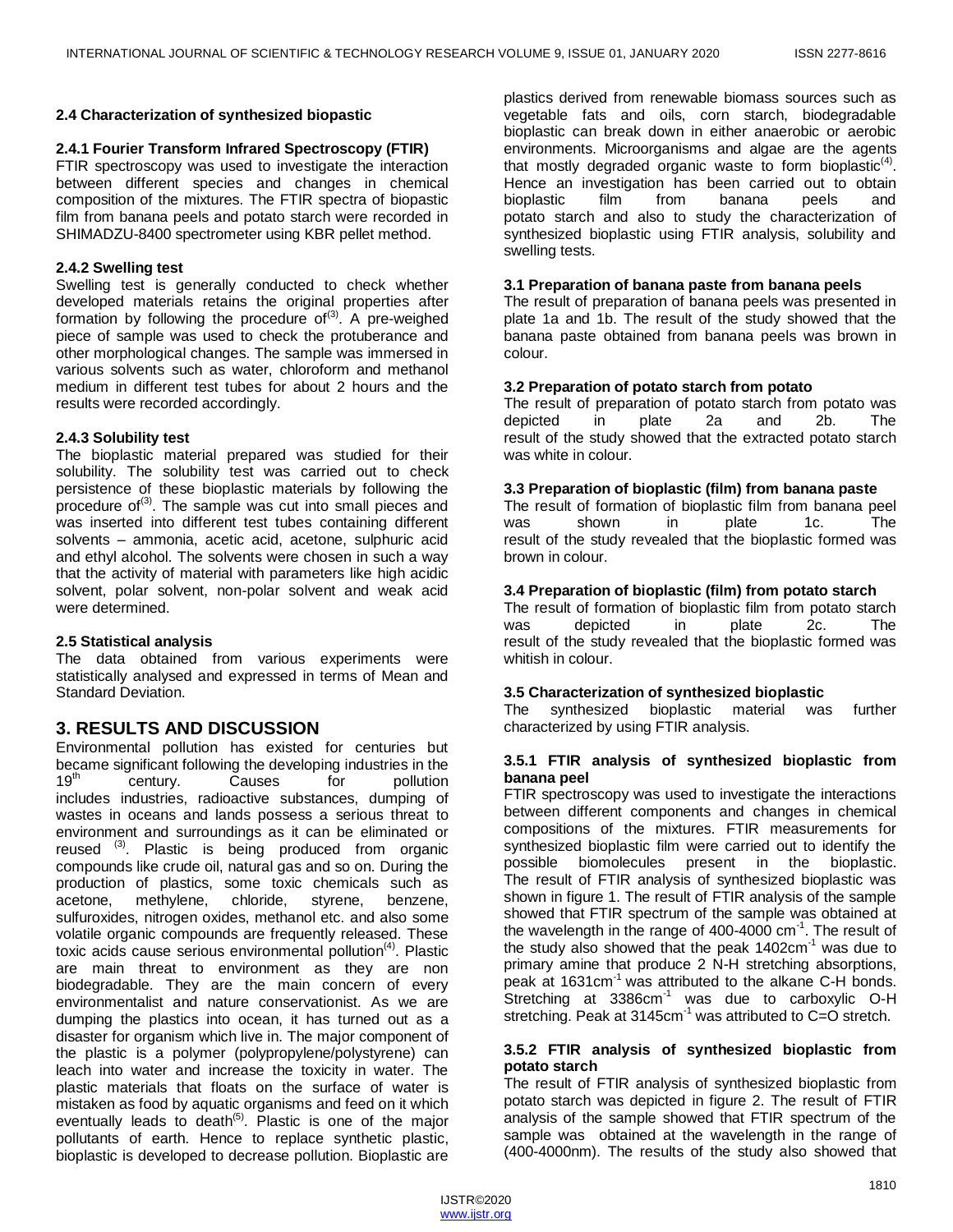#### **2.4 Characterization of synthesized biopastic**

#### **2.4.1 Fourier Transform Infrared Spectroscopy (FTIR)**

FTIR spectroscopy was used to investigate the interaction between different species and changes in chemical composition of the mixtures. The FTIR spectra of biopastic film from banana peels and potato starch were recorded in SHIMADZU-8400 spectrometer using KBR pellet method.

#### **2.4.2 Swelling test**

Swelling test is generally conducted to check whether developed materials retains the original properties after formation by following the procedure of  $(3)$ . A pre-weighed piece of sample was used to check the protuberance and other morphological changes. The sample was immersed in various solvents such as water, chloroform and methanol medium in different test tubes for about 2 hours and the results were recorded accordingly.

#### **2.4.3 Solubility test**

The bioplastic material prepared was studied for their solubility. The solubility test was carried out to check persistence of these bioplastic materials by following the procedure of<sup>(3)</sup>. The sample was cut into small pieces and was inserted into different test tubes containing different solvents – ammonia, acetic acid, acetone, sulphuric acid and ethyl alcohol. The solvents were chosen in such a way that the activity of material with parameters like high acidic solvent, polar solvent, non-polar solvent and weak acid were determined.

#### **2.5 Statistical analysis**

The data obtained from various experiments were statistically analysed and expressed in terms of Mean and Standard Deviation.

## **3. RESULTS AND DISCUSSION**

Environmental pollution has existed for centuries but became significant following the developing industries in the<br>19<sup>th</sup> century. Causes for pollution century. Causes for pollution includes industries, radioactive substances, dumping of wastes in oceans and lands possess a serious threat to environment and surroundings as it can be eliminated or reused <sup>(3)</sup>. Plastic is being produced from organic compounds like crude oil, natural gas and so on. During the production of plastics, some toxic chemicals such as acetone, methylene, chloride, styrene, benzene, sulfuroxides, nitrogen oxides, methanol etc. and also some volatile organic compounds are frequently released. These toxic acids cause serious environmental pollution<sup>(4)</sup>. Plastic are main threat to environment as they are non biodegradable. They are the main concern of every environmentalist and nature conservationist. As we are dumping the plastics into ocean, it has turned out as a disaster for organism which live in. The major component of the plastic is a polymer (polypropylene/polystyrene) can leach into water and increase the toxicity in water. The plastic materials that floats on the surface of water is mistaken as food by aquatic organisms and feed on it which eventually leads to death<sup>(5)</sup>. Plastic is one of the major pollutants of earth. Hence to replace synthetic plastic, bioplastic is developed to decrease pollution. Bioplastic are

plastics derived from renewable biomass sources such as vegetable fats and oils, corn starch, biodegradable bioplastic can break down in either anaerobic or aerobic environments. Microorganisms and algae are the agents that mostly degraded organic waste to form bioplastic<sup>(4)</sup>. Hence an investigation has been carried out to obtain bioplastic film from banana peels and potato starch and also to study the characterization of synthesized bioplastic using FTIR analysis, solubility and swelling tests.

#### **3.1 Preparation of banana paste from banana peels**

The result of preparation of banana peels was presented in plate 1a and 1b. The result of the study showed that the banana paste obtained from banana peels was brown in colour.

#### **3.2 Preparation of potato starch from potato**

The result of preparation of potato starch from potato was depicted in plate 2a and 2b. The result of the study showed that the extracted potato starch was white in colour.

#### **3.3 Preparation of bioplastic (film) from banana paste**

The result of formation of bioplastic film from banana peel was shown in plate 1c. The result of the study revealed that the bioplastic formed was brown in colour.

#### **3.4 Preparation of bioplastic (film) from potato starch**

The result of formation of bioplastic film from potato starch was depicted in plate 2c. The result of the study revealed that the bioplastic formed was whitish in colour.

#### **3.5 Characterization of synthesized bioplastic**

The synthesized bioplastic material was further characterized by using FTIR analysis.

#### **3.5.1 FTIR analysis of synthesized bioplastic from banana peel**

FTIR spectroscopy was used to investigate the interactions between different components and changes in chemical compositions of the mixtures. FTIR measurements for synthesized bioplastic film were carried out to identify the possible biomolecules present in the bioplastic. The result of FTIR analysis of synthesized bioplastic was shown in figure 1. The result of FTIR analysis of the sample showed that FTIR spectrum of the sample was obtained at the wavelength in the range of 400-4000  $cm^{-1}$ . The result of the study also showed that the peak  $1402 \text{cm}^{-1}$  was due to primary amine that produce 2 N-H stretching absorptions, peak at 1631cm<sup>-1</sup> was attributed to the alkane C-H bonds. Stretching at  $3386 \text{cm}^{-1}$  was due to carboxylic O-H stretching. Peak at 3145 $cm^{-1}$  was attributed to C=O stretch.

#### **3.5.2 FTIR analysis of synthesized bioplastic from potato starch**

The result of FTIR analysis of synthesized bioplastic from potato starch was depicted in figure 2. The result of FTIR analysis of the sample showed that FTIR spectrum of the sample was obtained at the wavelength in the range of (400-4000nm). The results of the study also showed that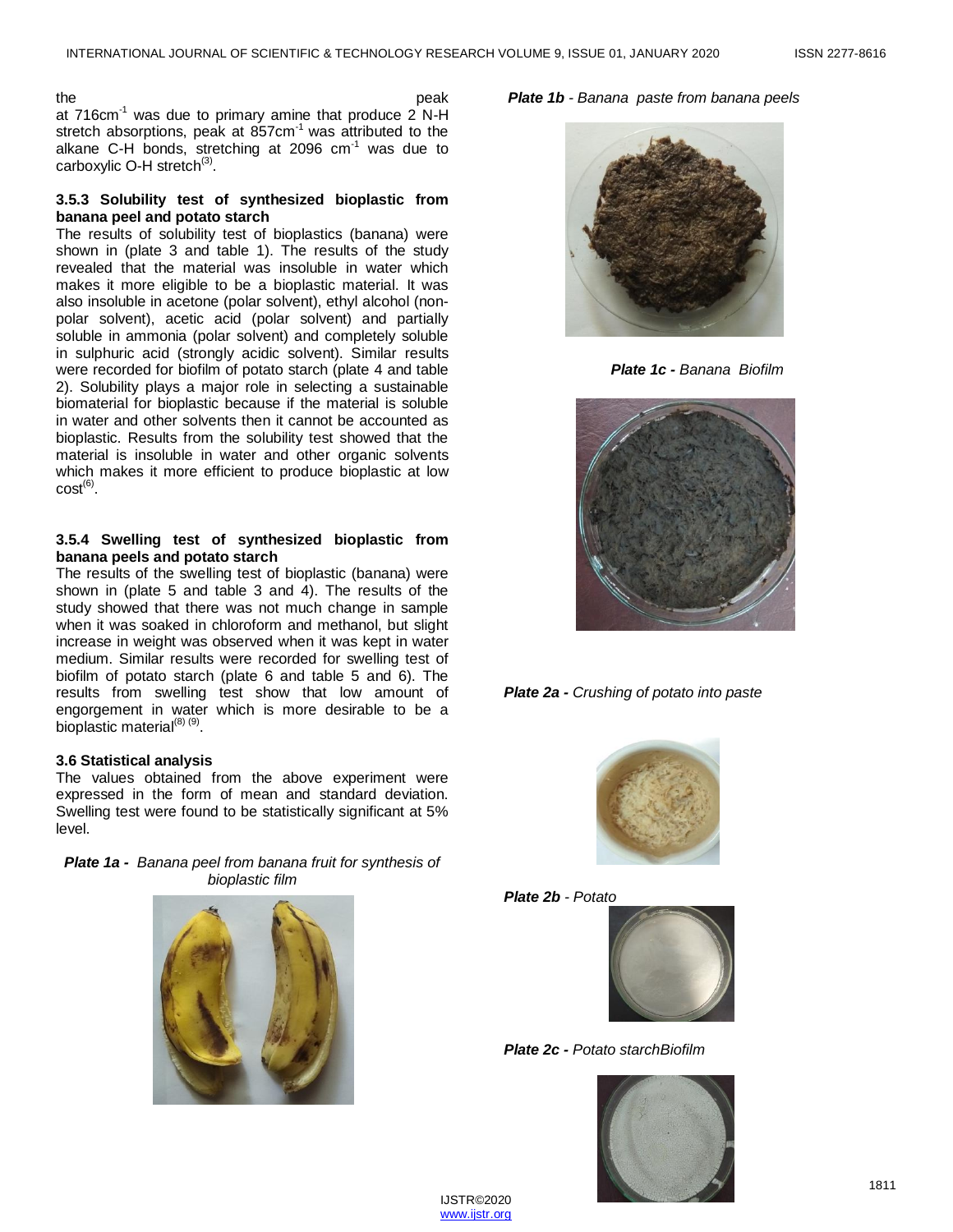the peak of the peak of the peak of the peak of the peak of the peak of the peak of the peak at  $716$ cm<sup>-1</sup> was due to primary amine that produce  $2$  N-H stretch absorptions, peak at 857cm<sup>-1</sup> was attributed to the alkane C-H bonds, stretching at 2096  $cm^{-1}$  was due to carboxylic O-H stretch<sup>(3)</sup>.

#### **3.5.3 Solubility test of synthesized bioplastic from banana peel and potato starch**

The results of solubility test of bioplastics (banana) were shown in (plate 3 and table 1). The results of the study revealed that the material was insoluble in water which makes it more eligible to be a bioplastic material. It was also insoluble in acetone (polar solvent), ethyl alcohol (nonpolar solvent), acetic acid (polar solvent) and partially soluble in ammonia (polar solvent) and completely soluble in sulphuric acid (strongly acidic solvent). Similar results were recorded for biofilm of potato starch (plate 4 and table 2). Solubility plays a major role in selecting a sustainable biomaterial for bioplastic because if the material is soluble in water and other solvents then it cannot be accounted as bioplastic. Results from the solubility test showed that the material is insoluble in water and other organic solvents which makes it more efficient to produce bioplastic at low  $cost^{(6)}$ .

#### **3.5.4 Swelling test of synthesized bioplastic from banana peels and potato starch**

The results of the swelling test of bioplastic (banana) were shown in (plate 5 and table 3 and 4). The results of the study showed that there was not much change in sample when it was soaked in chloroform and methanol, but slight increase in weight was observed when it was kept in water medium. Similar results were recorded for swelling test of biofilm of potato starch (plate 6 and table 5 and 6). The results from swelling test show that low amount of engorgement in water which is more desirable to be a bioplastic material<sup>(8) (9)</sup>.

### **3.6 Statistical analysis**

The values obtained from the above experiment were expressed in the form of mean and standard deviation. Swelling test were found to be statistically significant at 5% level.

| <b>Plate 1a -</b> Banana peel from banana fruit for synthesis of |  |
|------------------------------------------------------------------|--|
| bioplastic film                                                  |  |



*Plate 1b - Banana paste from banana peels*



*Plate 1c - Banana Biofilm*











*Plate 2c - Potato starchBiofilm*

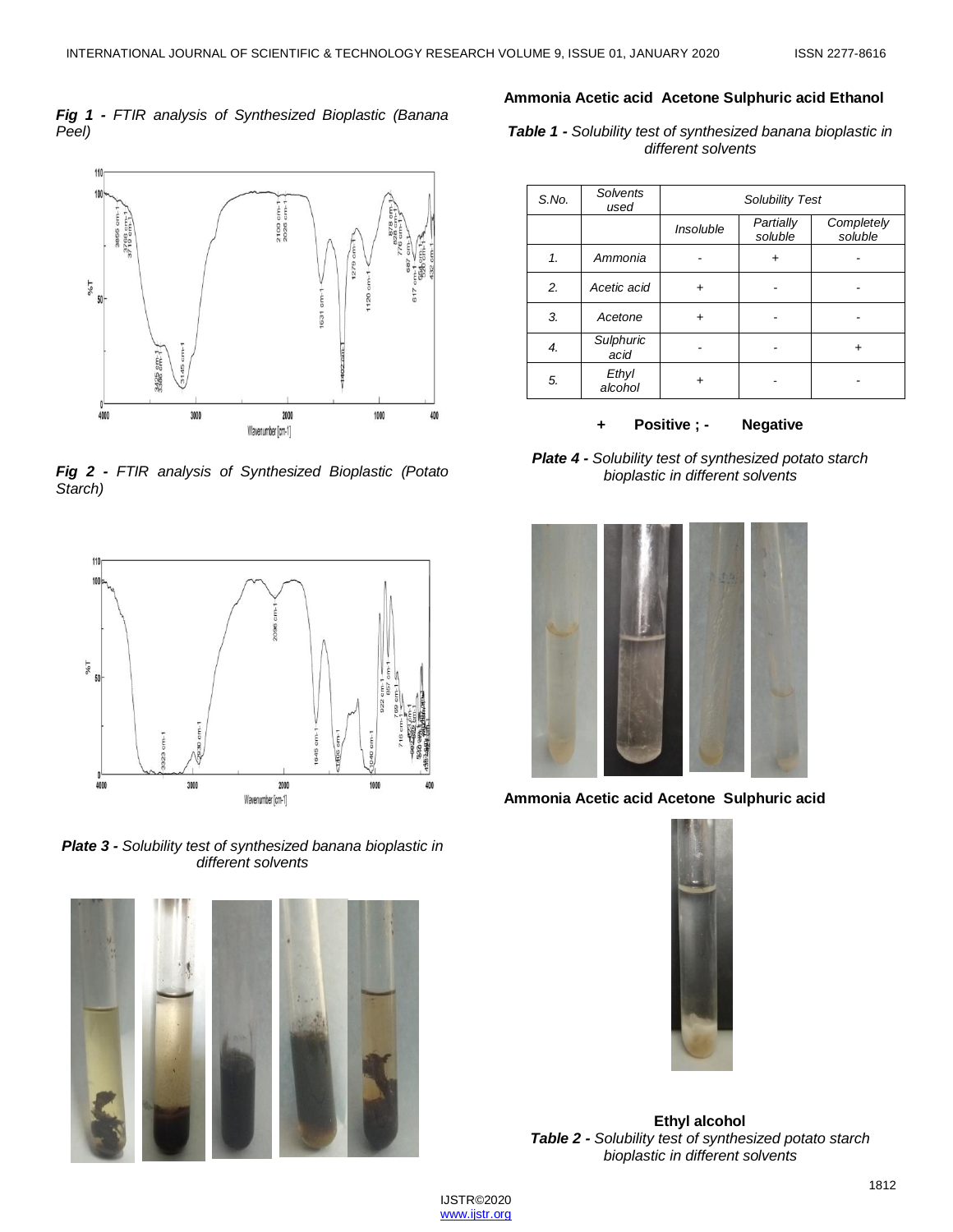#### *Fig 1 - FTIR analysis of Synthesized Bioplastic (Banana Peel)*



*Fig 2 - FTIR analysis of Synthesized Bioplastic (Potato Starch)*



*Plate 3 - Solubility test of synthesized banana bioplastic in different solvents*



#### **Ammonia Acetic acid Acetone Sulphuric acid Ethanol**

*Table 1 - Solubility test of synthesized banana bioplastic in different solvents*

| S.No. | Solvents<br>used  | <b>Solubility Test</b> |                      |                       |
|-------|-------------------|------------------------|----------------------|-----------------------|
|       |                   | Insoluble              | Partially<br>soluble | Completely<br>soluble |
| 1.    | Ammonia           |                        |                      |                       |
| 2.    | Acetic acid       | +                      |                      |                       |
| 3.    | Acetone           | +                      |                      |                       |
| 4.    | Sulphuric<br>acid |                        |                      |                       |
| 5.    | Ethyl<br>alcohol  |                        |                      |                       |

**+ Positive ; - Negative**

*Plate 4 - Solubility test of synthesized potato starch bioplastic in different solvents*



**Ammonia Acetic acid Acetone Sulphuric acid** 



**Ethyl alcohol** *Table 2 - Solubility test of synthesized potato starch bioplastic in different solvents*

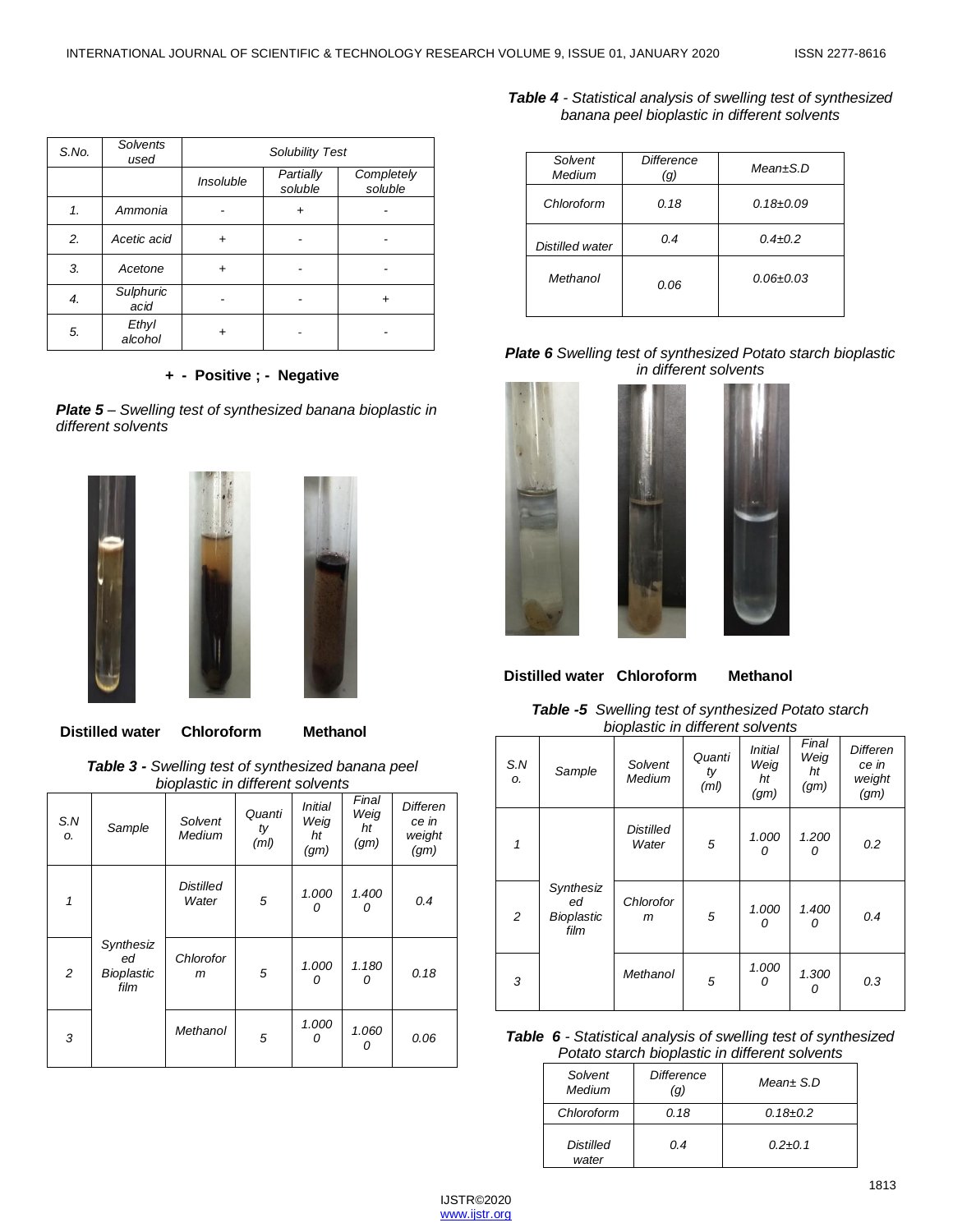| S.No. | Solvents<br>used  | <b>Solubility Test</b> |                      |                       |
|-------|-------------------|------------------------|----------------------|-----------------------|
|       |                   | Insoluble              | Partially<br>soluble | Completely<br>soluble |
| 1.    | Ammonia           |                        |                      |                       |
| 2.    | Acetic acid       | +                      |                      |                       |
| 3.    | Acetone           | +                      |                      |                       |
| 4.    | Sulphuric<br>acid |                        |                      |                       |
| 5.    | Ethyl<br>alcohol  |                        |                      |                       |

#### **+ - Positive ; - Negative**

*Plate 5 – Swelling test of synthesized banana bioplastic in different solvents*



**Distilled water Chloroform Methanol**

*Table 3 - Swelling test of synthesized banana peel bioplastic in different solvents*

| S.N<br>ο. | Sample                                       | <b>Diopiaotio</b> III allioi ont convoitto<br>Solvent<br>Medium | Quanti<br>ty<br>(ml) | <i>Initial</i><br>Weig<br>ht | Final<br>Weig<br>ht<br>(gm) | <b>Differen</b><br>ce in<br>weight |
|-----------|----------------------------------------------|-----------------------------------------------------------------|----------------------|------------------------------|-----------------------------|------------------------------------|
|           |                                              |                                                                 |                      | (gm)                         |                             | (gm)                               |
| 1         |                                              | <b>Distilled</b><br>Water                                       | 5                    | 1.000<br>0                   | 1.400<br>0                  | 0.4                                |
| 2         | Synthesiz<br>ed<br><b>Bioplastic</b><br>film | Chlorofor<br>m                                                  | 5                    | 1.000<br>n                   | 1.180<br>0                  | 0.18                               |
| 3         |                                              | Methanol                                                        | 5                    | 1.000<br>0                   | 1.060<br>0                  | 0.06                               |

*Table 4 - Statistical analysis of swelling test of synthesized banana peel bioplastic in different solvents*

| Solvent<br>Medium | Difference<br>(g) | $Mean \pm S.D$  |
|-------------------|-------------------|-----------------|
| Chloroform        | 0.18              | $0.18 \pm 0.09$ |
| Distilled water   | 0.4               | $0.4 + 0.2$     |
| Methanol          | 0.06              | $0.06 \pm 0.03$ |

#### *Plate 6 Swelling test of synthesized Potato starch bioplastic in different solvents*



**Distilled water Chloroform Methanol**

#### *Table -5 Swelling test of synthesized Potato starch bioplastic in different solvents*

|                |                                              | $-0.00$                   |                      |                                      |                             |                                            |
|----------------|----------------------------------------------|---------------------------|----------------------|--------------------------------------|-----------------------------|--------------------------------------------|
| S.N<br>Ο.      | Sample                                       | Solvent<br>Medium         | Quanti<br>ty<br>(ml) | <b>Initial</b><br>Weig<br>ht<br>(gm) | Final<br>Weig<br>ht<br>(gm) | <b>Differen</b><br>ce in<br>weight<br>(gm) |
| 1              |                                              | <b>Distilled</b><br>Water | 5                    | 1.000<br>n                           | 1.200<br>0                  | 0.2                                        |
| $\overline{c}$ | Synthesiz<br>ed<br><b>Bioplastic</b><br>film | Chlorofor<br>m            | 5                    | 1.000<br>n                           | 1.400<br>0                  | 0.4                                        |
| 3              |                                              | Methanol                  | 5                    | 1.000<br>n                           | 1.300<br>0                  | 0.3                                        |

#### *Table 6 - Statistical analysis of swelling test of synthesized Potato starch bioplastic in different solvents*

| Solvent<br>Medium         | <b>Difference</b><br>(g) | $Mean \pm S.D$ |
|---------------------------|--------------------------|----------------|
| Chloroform                | 0.18                     | $0.18 \pm 0.2$ |
| <b>Distilled</b><br>water | 0.4                      | $0.2 + 0.1$    |